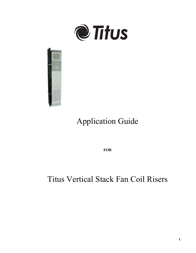



# Application Guide

**FOR**

## Titus Vertical Stack Fan Coil Risers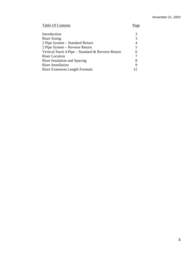### Table Of Contents Page

| Introduction                                      |    |
|---------------------------------------------------|----|
| <b>Riser Sizing</b>                               |    |
| 2 Pipe System – Standard Return                   |    |
| 2 Pipe System – Reverse Return                    |    |
| Vertical Stack 4 Pipe – Standard & Reverse Return | 6  |
| <b>Riser Location</b>                             |    |
| <b>Riser Insulation and Spacing</b>               |    |
| <b>Riser Installation</b>                         |    |
| Riser Extension Length Formula                    | 12 |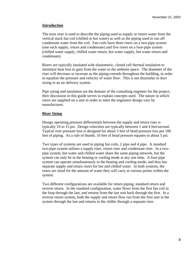### **Introduction**

The term riser is used to describe the piping used to supply or return water from the vertical stack fan coil (chilled or hot water) as well as the piping used to run off condensate water from the coil. Fan coils have three risers on a two-pipe system (one each supply, return and condensate) and five risers on a four-pipe system (chilled water supply, chilled water return, hot water supply, hot water return and condensate).

Risers are typically insulated with elastomeric, closed cell thermal insulation to minimize heat loss or gain from the water to the ambient space. The diameter of the riser will decrease or increase as the piping extends throughout the building, in order to equalize the pressure and velocity of water flow. This is not dissimilar to duct sizing in an air delivery system.

Pipe sizing and insulation are the domain of the consulting engineer for the project, their discussion in this guide serves to explain concepts used. The nature in which risers are supplied on a unit in order to meet the engineers design vary by manufacturer**.** 

### **Riser Sizing**

Design operating pressure differentials between the supply and return riser is typically 10 to 15 psi. Design velocities are typically between 1 and 4 feet/second. Typical riser pressure loss is designed for about 3 feet of head pressure loss per 100 feet of piping. As a rule of thumb, 10 feet of head pressure equates to about 5 psi.

Two types of systems are used in piping fan coils, 2 pipe and 4 pipe. A standard two-pipe system utilizes a supply riser, return riser and condensate riser. In a twopipe system, hot water and chilled water share the same piping network, but the system can only be in the heating or cooling mode at any one time. A four-pipe system can operate simultaneously in the heating and cooling mode, and thus has separate supply and return risers for hot and chilled water. In both systems, the risers are sized for the amount of water they will carry at various points within the system.

Two different configurations are available for return piping, standard return and reverse return. In the standard configuration, water flows from the first fan coil in the loop through the last, and returns from the last unit back through the first. In a reverse return system, both the supply and return flow run from the first unit in the system through the last and returns to the chiller through a separate riser.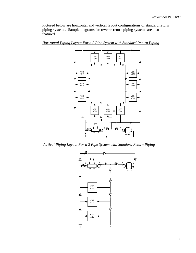Pictured below are horizontal and vertical layout configurations of standard return piping systems. Sample diagrams for reverse return piping systems are also featured.



*Horizontal Piping Layout For a 2 Pipe System with Standard Return Piping* 

*Vertical Piping Layout For a 2 Pipe System with Standard Return Piping* 

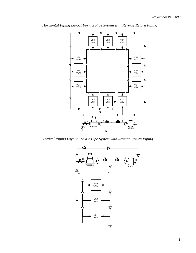

*Horizontal Piping Layout For a 2 Pipe System with Reverse Return Piping* 

*Vertical Piping Layout For a 2 Pipe System with Reverse Return Piping* 

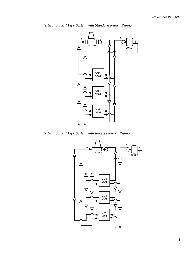

*Vertical Stack 4 Pipe System with Standard Return Piping*

*Vertical Stack 4 Pipe System with Reverse Return Piping* 

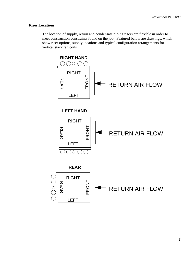#### **Riser Locations**

The location of supply, return and condensate piping risers are flexible in order to meet construction constraints found on the job. Featured below are drawings, which show riser options, supply locations and typical configuration arrangements for vertical stack fan coils.

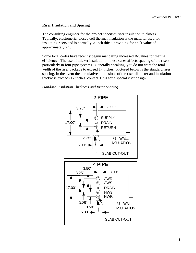### **Riser Insulation and Spacing**

The consulting engineer for the project specifies riser insulation thickness. Typically, elastomeric, closed cell thermal insulation is the material used for insulating risers and is normally ½ inch thick, providing for an R-value of approximately 2.5.

Some local codes have recently begun mandating increased R-values for thermal efficiency. The use of thicker insulation in these cases affects spacing of the risers, particularly in four pipe systems. Generally speaking, you do not want the total width of the riser package to exceed 17 inches. Pictured below is the standard riser spacing. In the event the cumulative dimensions of the riser diameter and insulation thickness exceeds 17 inches, contact Titus for a special riser design.

### **2 PIPE**  $-3.00"$ 3.25" **SUPPLY** 17.00" DRAIN ⊚ RETURN 3.25" ½" WALL INSULATION 5.00" SLAB CUT-OUT **4 PIPE** 3.50" 3.00" 3.25" CWR CWS 17.00"DRAIN **HWS** HWR 3.25" ½" WALL 3.50" INSULATION  $5.00"$  + SLAB CUT-OUT

#### *Standard Insulation Thickness and Riser Spacing*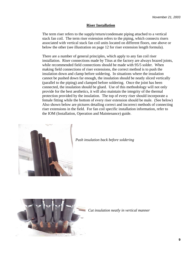#### **Riser Installation**

The term riser refers to the supply/return/condensate piping attached to a vertical stack fan coil. The term riser extension refers to the piping, which connects risers associated with vertical stack fan coil units located on different floors, one above or below the other (see illustration on page 12 for riser extension length formula).

There are a number of general principles, which apply to any fan coil riser installation. Riser connections made by Titus at the factory are always brazed joints, while recommended field connections should be made with 95/5 solder. When making field connections of riser extensions, the correct method is to push the insulation down and clamp before soldering. In situations where the insulation cannot be pushed down far enough, the insulation should be neatly sliced vertically (parallel to the piping) and clamped before soldering. Once the joint has been connected, the insulation should be glued. Use of this methodology will not only provide for the best aesthetics, it will also maintain the integrity of the thermal protection provided by the insulation. The top of every riser should incorporate a female fitting while the bottom of every riser extension should be male. (See below) Also shown below are pictures detailing correct and incorrect methods of connecting riser extensions in the field. For fan coil specific installation information, refer to the IOM (Installation, Operation and Maintenance) guide.



*Push insulation back before soldering* 



*Cut insulation neatly in vertical manner*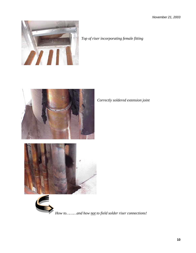*November 21, 2003* 







*How to………and how not to field solder riser connections!* 

*Correctly soldered extension joint*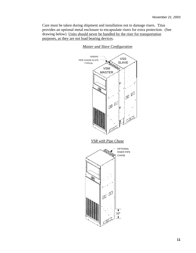Care must be taken during shipment and installation not to damage risers. Titus provides an optional metal enclosure to encapsulate risers for extra protection. (See drawing below) Units should never be handled by the riser for transportation purposes, as they are not load bearing devices.



*Master and Slave Configuration*

*VSR with Pipe Chase*